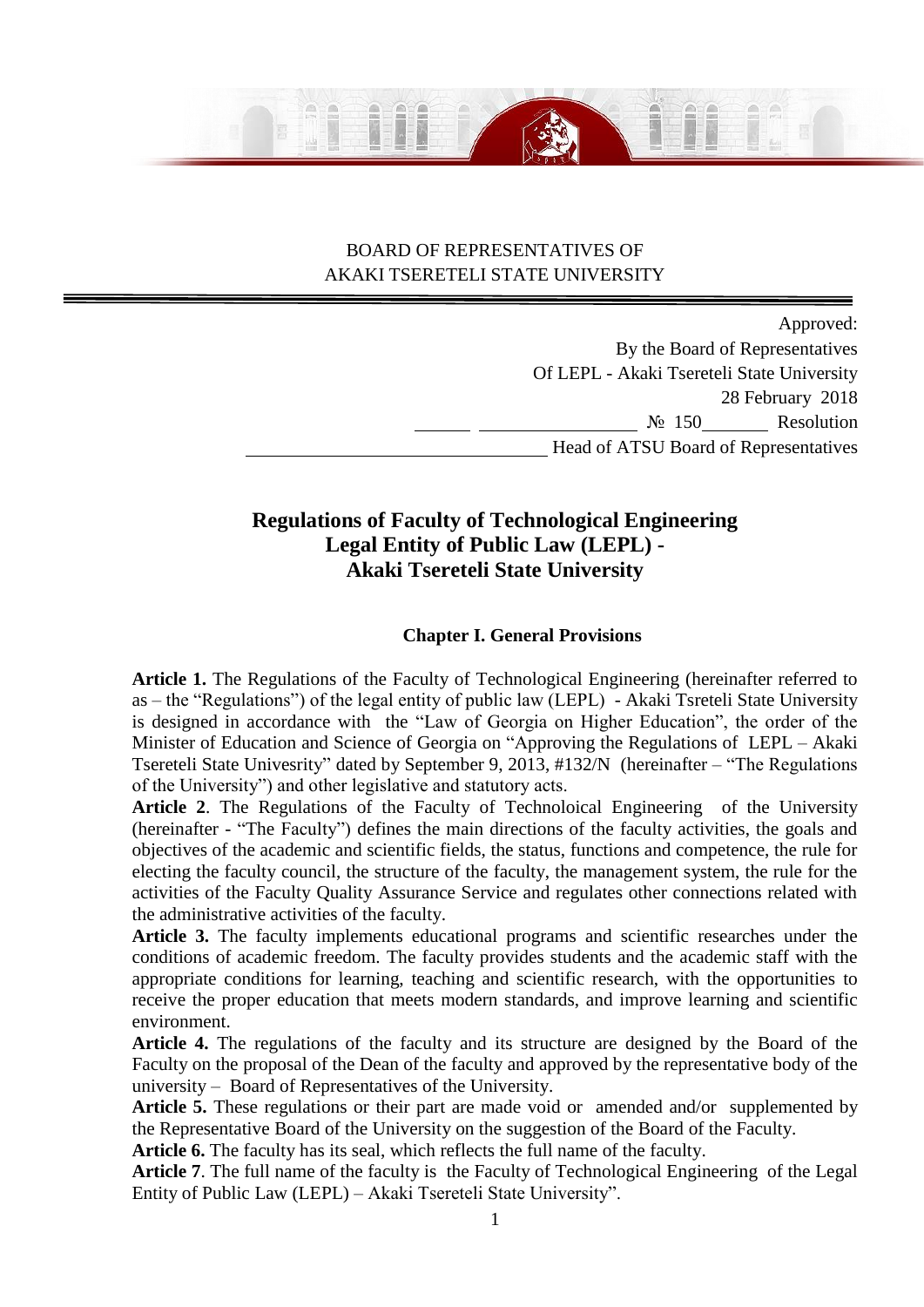

# BOARD OF REPRESENTATIVES OF AKAKI TSERETELI STATE UNIVERSITY

|                                            | Approved:                       |
|--------------------------------------------|---------------------------------|
|                                            | By the Board of Representatives |
| Of LEPL - Akaki Tsereteli State University |                                 |
|                                            | 28 February 2018                |
| $\mathcal{N}$ <sup>o</sup> 150             | Resolution                      |
| Head of ATSU Board of Representatives      |                                 |

# **Regulations of Faculty of Technological Engineering Legal Entity of Public Law (LEPL) - Akaki Tsereteli State University**

# **Chapter I. General Provisions**

**Article 1.** The Regulations of the Faculty of Technological Engineering (hereinafter referred to as – the "Regulations") of the legal entity of public law (LEPL) - Akaki Tsreteli State University is designed in accordance with the "Law of Georgia on Higher Education", the order of the Minister of Education and Science of Georgia on "Approving the Regulations of LEPL – Akaki Tsereteli State Univesrity" dated by September 9, 2013, #132/N (hereinafter – "The Regulations of the University") and other legislative and statutory acts.

**Article 2**. The Regulations of the Faculty of Technoloical Engineering of the University (hereinafter - "The Faculty") defines the main directions of the faculty activities, the goals and objectives of the academic and scientific fields, the status, functions and competence, the rule for electing the faculty council, the structure of the faculty, the management system, the rule for the activities of the Faculty Quality Assurance Service and regulates other connections related with the administrative activities of the faculty.

Article 3. The faculty implements educational programs and scientific researches under the conditions of academic freedom. The faculty provides students and the academic staff with the appropriate conditions for learning, teaching and scientific research, with the opportunities to receive the proper education that meets modern standards, and improve learning and scientific environment.

**Article 4.** The regulations of the faculty and its structure are designed by the Board of the Faculty on the proposal of the Dean of the faculty and approved by the representative body of the university – Board of Representatives of the University.

**Article 5.** These regulations or their part are made void or amended and/or supplemented by the Representative Board of the University on the suggestion of the Board of the Faculty.

**Article 6.** The faculty has its seal, which reflects the full name of the faculty.

**Article 7**. The full name of the faculty is the Faculty of Technological Engineering of the Legal Entity of Public Law (LEPL) – Akaki Tsereteli State University".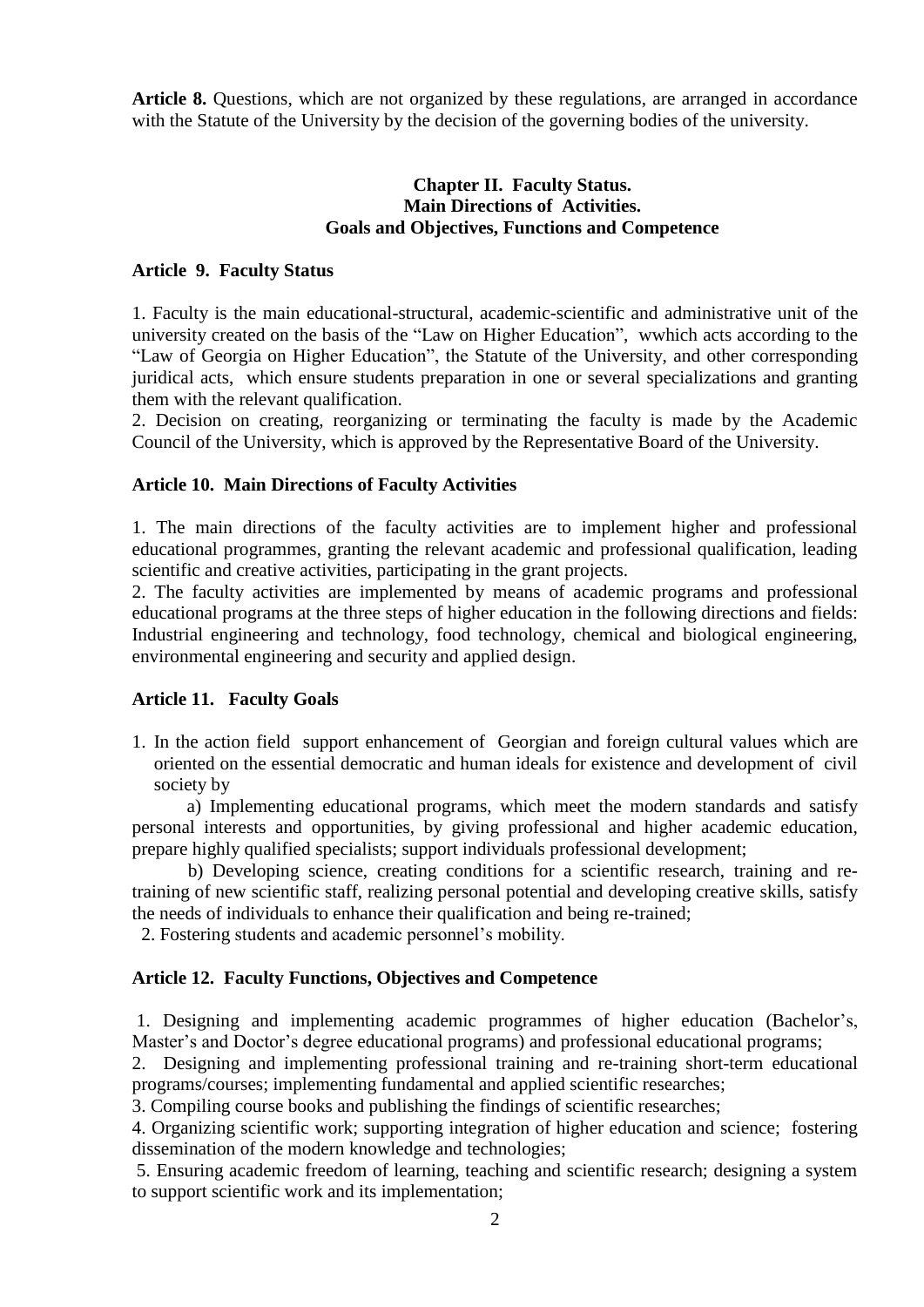**Article 8.** Questions, which are not organized by these regulations, are arranged in accordance with the Statute of the University by the decision of the governing bodies of the university.

# **Chapter II. Faculty Status. Main Directions of Activities. Goals and Objectives, Functions and Competence**

### **Article 9. Faculty Status**

1. Faculty is the main educational-structural, academic-scientific and administrative unit of the university created on the basis of the "Law on Higher Education", wwhich acts according to the "Law of Georgia on Higher Education", the Statute of the University, and other corresponding juridical acts, which ensure students preparation in one or several specializations and granting them with the relevant qualification.

2. Decision on creating, reorganizing or terminating the faculty is made by the Academic Council of the University, which is approved by the Representative Board of the University.

# **Article 10. Main Directions of Faculty Activities**

1. The main directions of the faculty activities are to implement higher and professional educational programmes, granting the relevant academic and professional qualification, leading scientific and creative activities, participating in the grant projects.

2. The faculty activities are implemented by means of academic programs and professional educational programs at the three steps of higher education in the following directions and fields: Industrial engineering and technology, food technology, chemical and biological engineering, environmental engineering and security and applied design.

#### **Article 11. Faculty Goals**

1. In the action field support enhancement of Georgian and foreign cultural values which are oriented on the essential democratic and human ideals for existence and development of civil society by

a) Implementing educational programs, which meet the modern standards and satisfy personal interests and opportunities, by giving professional and higher academic education, prepare highly qualified specialists; support individuals professional development;

b) Developing science, creating conditions for a scientific research, training and retraining of new scientific staff, realizing personal potential and developing creative skills, satisfy the needs of individuals to enhance their qualification and being re-trained;

2. Fostering students and academic personnel's mobility.

### **Article 12. Faculty Functions, Objectives and Competence**

1. Designing and implementing academic programmes of higher education (Bachelor's, Master's and Doctor's degree educational programs) and professional educational programs;

2. Designing and implementing professional training and re-training short-term educational programs/courses; implementing fundamental and applied scientific researches;

3. Compiling course books and publishing the findings of scientific researches;

4. Organizing scientific work; supporting integration of higher education and science; fostering dissemination of the modern knowledge and technologies;

5. Ensuring academic freedom of learning, teaching and scientific research; designing a system to support scientific work and its implementation;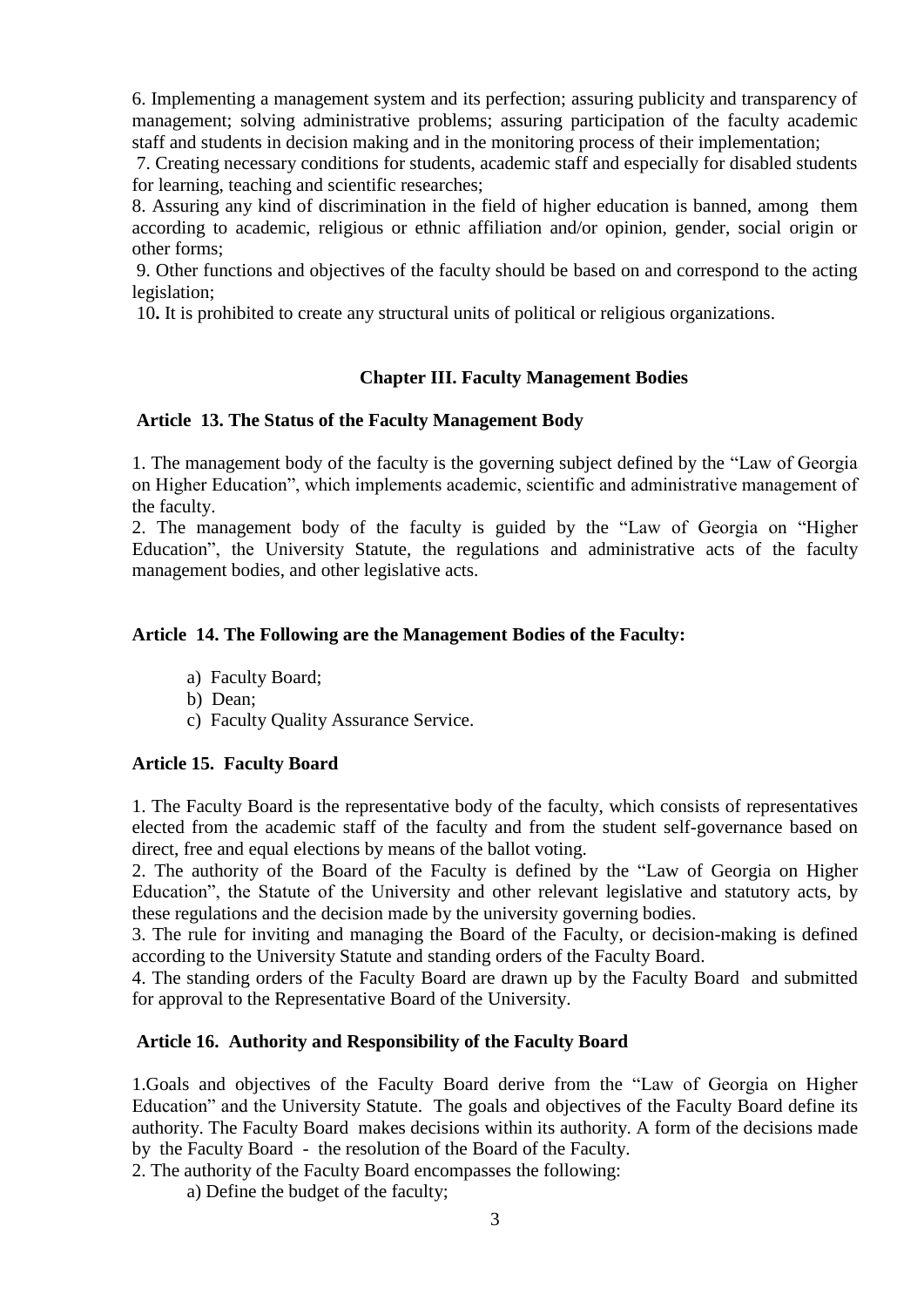6. Implementing a management system and its perfection; assuring publicity and transparency of management; solving administrative problems; assuring participation of the faculty academic staff and students in decision making and in the monitoring process of their implementation;

7. Creating necessary conditions for students, academic staff and especially for disabled students for learning, teaching and scientific researches;

8. Assuring any kind of discrimination in the field of higher education is banned, among them according to academic, religious or ethnic affiliation and/or opinion, gender, social origin or other forms;

9. Other functions and objectives of the faculty should be based on and correspond to the acting legislation;

10**.** It is prohibited to create any structural units of political or religious organizations.

# **Chapter III. Faculty Management Bodies**

# **Article 13. The Status of the Faculty Management Body**

1. The management body of the faculty is the governing subject defined by the "Law of Georgia on Higher Education", which implements academic, scientific and administrative management of the faculty.

2. The management body of the faculty is guided by the "Law of Georgia on "Higher Education", the University Statute, the regulations and administrative acts of the faculty management bodies, and other legislative acts.

# **Article 14. The Following are the Management Bodies of the Faculty:**

- a) Faculty Board;
- b) Dean;
- c) Faculty Quality Assurance Service.

# **Article 15. Faculty Board**

1. The Faculty Board is the representative body of the faculty, which consists of representatives elected from the academic staff of the faculty and from the student self-governance based on direct, free and equal elections by means of the ballot voting.

2. The authority of the Board of the Faculty is defined by the "Law of Georgia on Higher Education", the Statute of the University and other relevant legislative and statutory acts, by these regulations and the decision made by the university governing bodies.

3. The rule for inviting and managing the Board of the Faculty, or decision-making is defined according to the University Statute and standing orders of the Faculty Board.

4. The standing orders of the Faculty Board are drawn up by the Faculty Board and submitted for approval to the Representative Board of the University.

# **Article 16. Authority and Responsibility of the Faculty Board**

1.Goals and objectives of the Faculty Board derive from the "Law of Georgia on Higher Education" and the University Statute. The goals and objectives of the Faculty Board define its authority. The Faculty Board makes decisions within its authority. A form of the decisions made by the Faculty Board - the resolution of the Board of the Faculty.

2. The authority of the Faculty Board encompasses the following:

a) Define the budget of the faculty;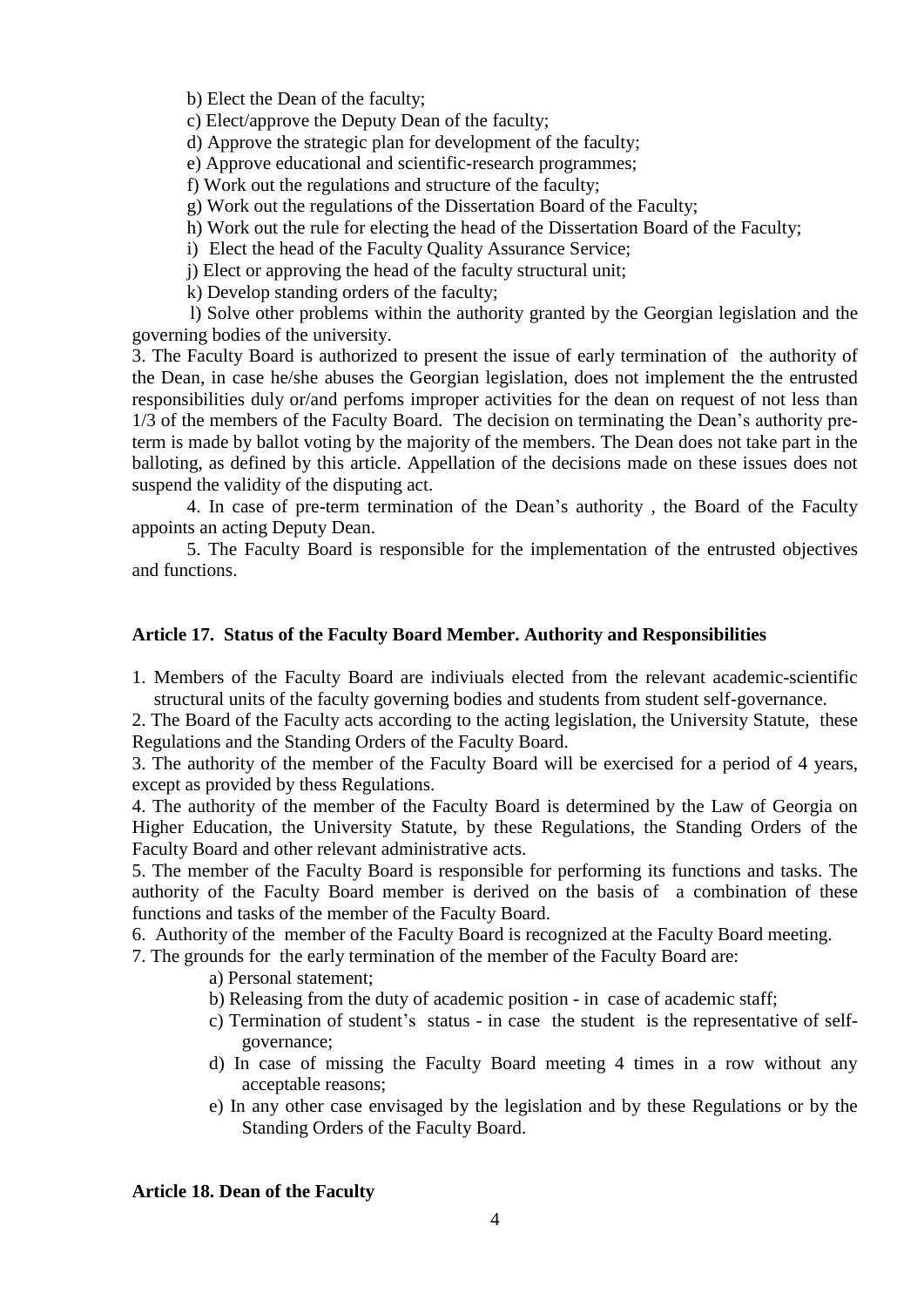b) Elect the Dean of the faculty;

- c) Elect/approve the Deputy Dean of the faculty;
- d) Approve the strategic plan for development of the faculty;
- e) Approve educational and scientific-research programmes;
- f) Work out the regulations and structure of the faculty;
- g) Work out the regulations of the Dissertation Board of the Faculty;
- h) Work out the rule for electing the head of the Dissertation Board of the Faculty;
- i) Elect the head of the Faculty Quality Assurance Service;
- j) Elect or approving the head of the faculty structural unit;

k) Develop standing orders of the faculty;

l) Solve other problems within the authority granted by the Georgian legislation and the governing bodies of the university.

3. The Faculty Board is authorized to present the issue of early termination of the authority of the Dean, in case he/she abuses the Georgian legislation, does not implement the the entrusted responsibilities duly or/and perfoms improper activities for the dean on request of not less than 1/3 of the members of the Faculty Board. The decision on terminating the Dean's authority preterm is made by ballot voting by the majority of the members. The Dean does not take part in the balloting, as defined by this article. Appellation of the decisions made on these issues does not suspend the validity of the disputing act.

4. In case of pre-term termination of the Dean's authority , the Board of the Faculty appoints an acting Deputy Dean.

5. The Faculty Board is responsible for the implementation of the entrusted objectives and functions.

#### **Article 17. Status of the Faculty Board Member. Authority and Responsibilities**

1. Members of the Faculty Board are indiviuals elected from the relevant academic-scientific structural units of the faculty governing bodies and students from student self-governance.

2. The Board of the Faculty acts according to the acting legislation, the University Statute, these Regulations and the Standing Orders of the Faculty Board.

3. The authority of the member of the Faculty Board will be exercised for a period of 4 years, except as provided by thess Regulations.

4. The authority of the member of the Faculty Board is determined by the Law of Georgia on Higher Education, the University Statute, by these Regulations, the Standing Orders of the Faculty Board and other relevant administrative acts.

5. The member of the Faculty Board is responsible for performing its functions and tasks. The authority of the Faculty Board member is derived on the basis of a combination of these functions and tasks of the member of the Faculty Board.

6. Authority of the member of the Faculty Board is recognized at the Faculty Board meeting.

7. The grounds for the early termination of the member of the Faculty Board are:

a) Personal statement;

- b) Releasing from the duty of academic position in case of academic staff;
- c) Termination of student's status in case the student is the representative of selfgovernance;
- d) In case of missing the Faculty Board meeting 4 times in a row without any acceptable reasons;
- e) In any other case envisaged by the legislation and by these Regulations or by the Standing Orders of the Faculty Board.

#### **Article 18. Dean of the Faculty**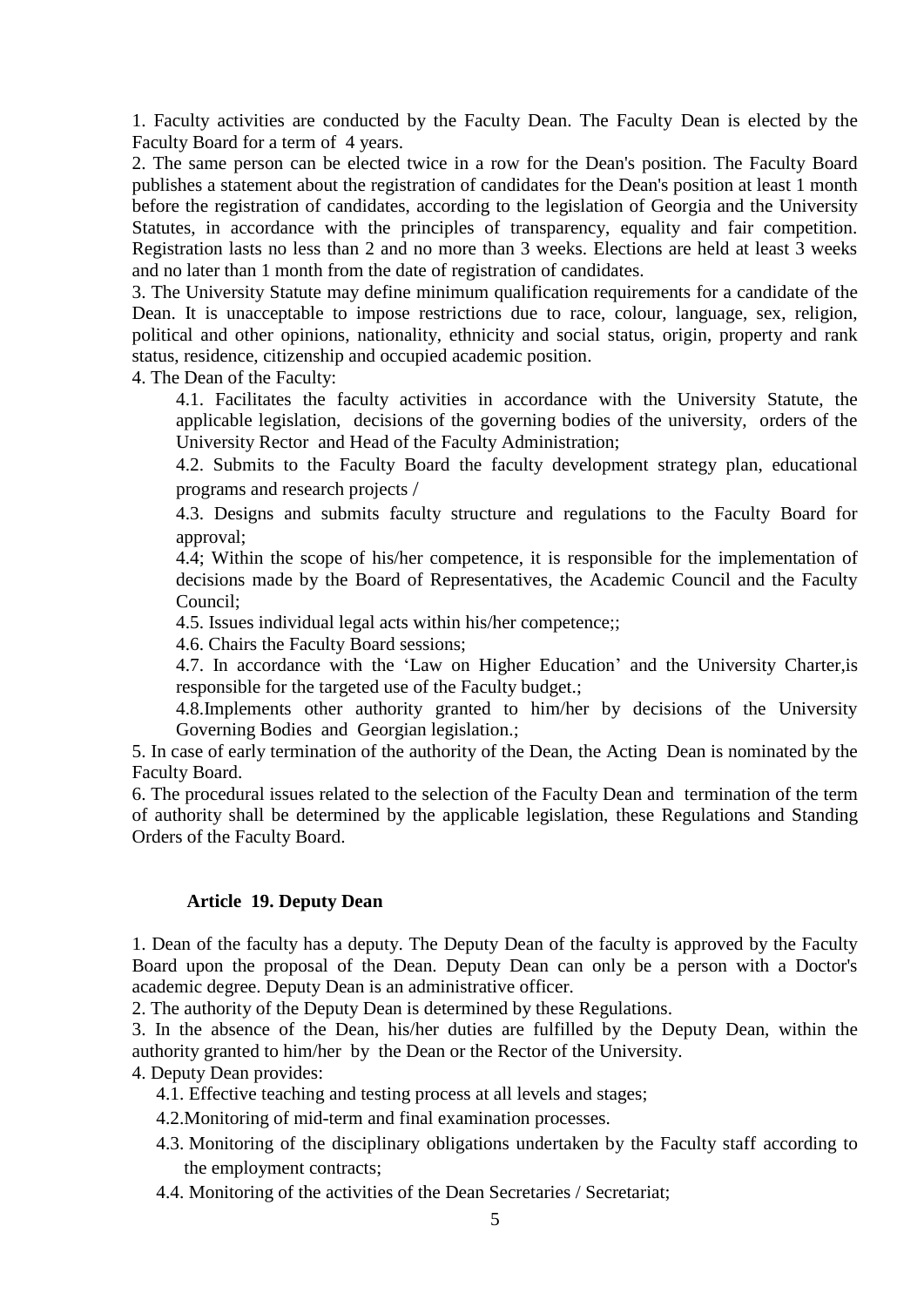1. Faculty activities are conducted by the Faculty Dean. The Faculty Dean is elected by the Faculty Board for a term of 4 years.

2. The same person can be elected twice in a row for the Dean's position. The Faculty Board publishes a statement about the registration of candidates for the Dean's position at least 1 month before the registration of candidates, according to the legislation of Georgia and the University Statutes, in accordance with the principles of transparency, equality and fair competition. Registration lasts no less than 2 and no more than 3 weeks. Elections are held at least 3 weeks and no later than 1 month from the date of registration of candidates.

3. The University Statute may define minimum qualification requirements for a candidate of the Dean. It is unacceptable to impose restrictions due to race, colour, language, sex, religion, political and other opinions, nationality, ethnicity and social status, origin, property and rank status, residence, citizenship and occupied academic position.

4. The Dean of the Faculty:

4.1. Facilitates the faculty activities in accordance with the University Statute, the applicable legislation, decisions of the governing bodies of the university, orders of the University Rector and Head of the Faculty Administration;

4.2. Submits to the Faculty Board the faculty development strategy plan, educational programs and research projects /

4.3. Designs and submits faculty structure and regulations to the Faculty Board for approval;

4.4; Within the scope of his/her competence, it is responsible for the implementation of decisions made by the Board of Representatives, the Academic Council and the Faculty Council;

4.5. Issues individual legal acts within his/her competence;;

4.6. Chairs the Faculty Board sessions;

4.7. In accordance with the 'Law on Higher Education' and the University Charter,is responsible for the targeted use of the Faculty budget.;

4.8.Implements other authority granted to him/her by decisions of the University Governing Bodies and Georgian legislation.;

5. In case of early termination of the authority of the Dean, the Acting Dean is nominated by the Faculty Board.

6. The procedural issues related to the selection of the Faculty Dean and termination of the term of authority shall be determined by the applicable legislation, these Regulations and Standing Orders of the Faculty Board.

# **Article 19. Deputy Dean**

1. Dean of the faculty has a deputy. The Deputy Dean of the faculty is approved by the Faculty Board upon the proposal of the Dean. Deputy Dean can only be a person with a Doctor's academic degree. Deputy Dean is an administrative officer.

2. The authority of the Deputy Dean is determined by these Regulations.

3. In the absence of the Dean, his/her duties are fulfilled by the Deputy Dean, within the authority granted to him/her by the Dean or the Rector of the University.

4. Deputy Dean provides:

- 4.1. Effective teaching and testing process at all levels and stages;
- 4.2.Monitoring of mid-term and final examination processes.
- 4.3. Monitoring of the disciplinary obligations undertaken by the Faculty staff according to the employment contracts;
- 4.4. Monitoring of the activities of the Dean Secretaries / Secretariat;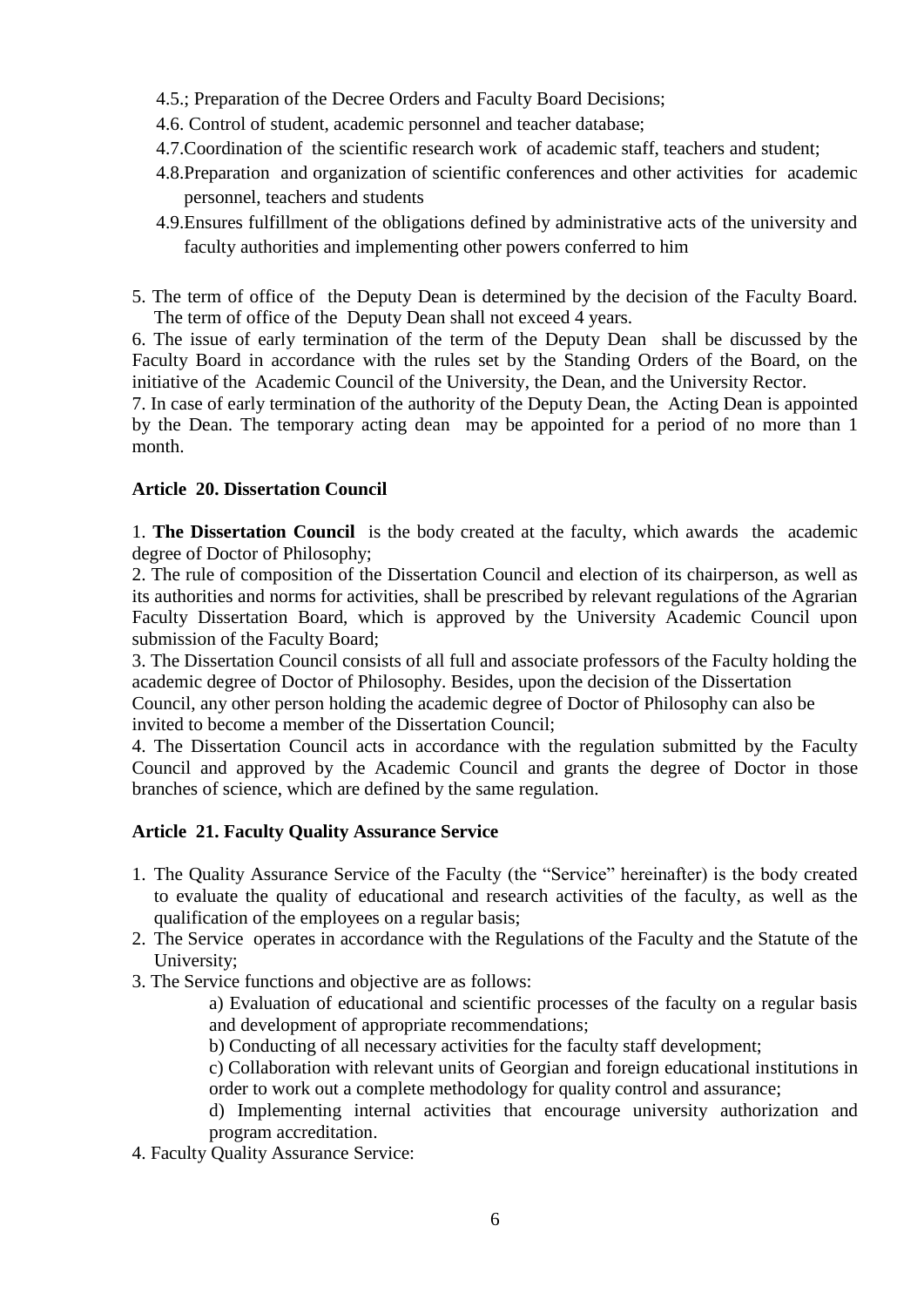- 4.5.; Preparation of the Decree Orders and Faculty Board Decisions;
- 4.6. Control of student, academic personnel and teacher database;
- 4.7.Coordination of the scientific research work of academic staff, teachers and student;
- 4.8.Preparation and organization of scientific conferences and other activities for academic personnel, teachers and students
- 4.9.Ensures fulfillment of the obligations defined by administrative acts of the university and faculty authorities and implementing other powers conferred to him
- 5. The term of office of the Deputy Dean is determined by the decision of the Faculty Board. The term of office of the Deputy Dean shall not exceed 4 years.

6. The issue of early termination of the term of the Deputy Dean shall be discussed by the Faculty Board in accordance with the rules set by the Standing Orders of the Board, on the initiative of the Academic Council of the University, the Dean, and the University Rector.

7. In case of early termination of the authority of the Deputy Dean, the Acting Dean is appointed by the Dean. The temporary acting dean may be appointed for a period of no more than 1 month.

# **Article 20. Dissertation Council**

1. **The Dissertation Council** is the body created at the faculty, which awards the academic degree of Doctor of Philosophy;

2. The rule of composition of the Dissertation Council and election of its chairperson, as well as its authorities and norms for activities, shall be prescribed by relevant regulations of the Agrarian Faculty Dissertation Board, which is approved by the University Academic Council upon submission of the Faculty Board;

3. The Dissertation Council consists of all full and associate professors of the Faculty holding the academic degree of Doctor of Philosophy. Besides, upon the decision of the Dissertation

Council, any other person holding the academic degree of Doctor of Philosophy can also be invited to become a member of the Dissertation Council;

4. The Dissertation Council acts in accordance with the regulation submitted by the Faculty Council and approved by the Academic Council and grants the degree of Doctor in those branches of science, which are defined by the same regulation.

# **Article 21. Faculty Quality Assurance Service**

- 1. The Quality Assurance Service of the Faculty (the "Service" hereinafter) is the body created to evaluate the quality of educational and research activities of the faculty, as well as the qualification of the employees on a regular basis;
- 2. The Service operates in accordance with the Regulations of the Faculty and the Statute of the University;
- 3. The Service functions and objective are as follows:
	- a) Evaluation of educational and scientific processes of the faculty on a regular basis and development of appropriate recommendations;
	- b) Conducting of all necessary activities for the faculty staff development;
	- c) Collaboration with relevant units of Georgian and foreign educational institutions in order to work out a complete methodology for quality control and assurance;

d) Implementing internal activities that encourage university authorization and program accreditation.

4. Faculty Quality Assurance Service: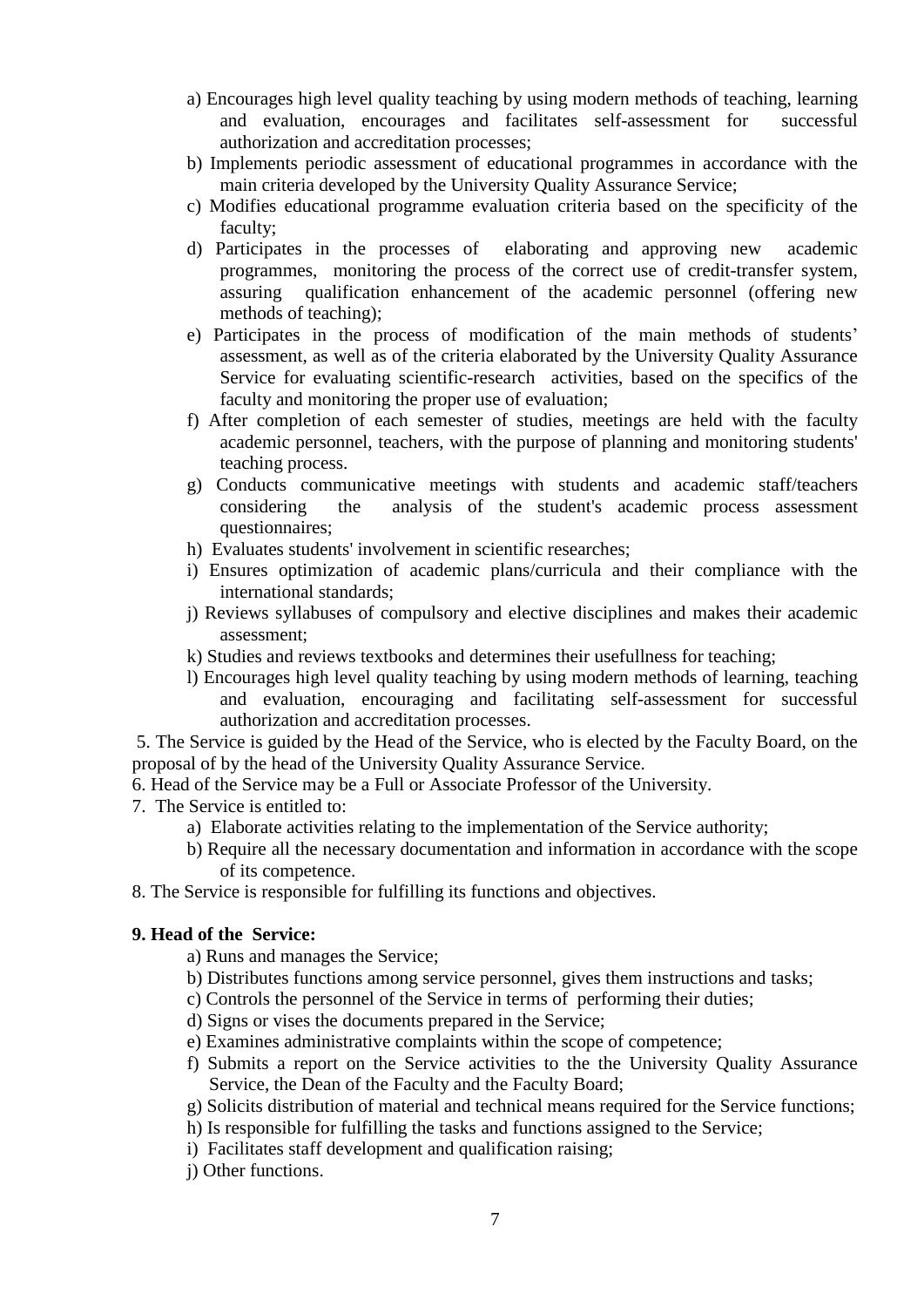- a) Encourages high level quality teaching by using modern methods of teaching, learning and evaluation, encourages and facilitates self-assessment for successful authorization and accreditation processes;
- b) Implements periodic assessment of educational programmes in accordance with the main criteria developed by the University Quality Assurance Service;
- c) Modifies educational programme evaluation criteria based on the specificity of the faculty;
- d) Participates in the processes of elaborating and approving new academic programmes, monitoring the process of the correct use of credit-transfer system, assuring qualification enhancement of the academic personnel (offering new methods of teaching);
- e) Participates in the process of modification of the main methods of students' assessment, as well as of the criteria elaborated by the University Quality Assurance Service for evaluating scientific-research activities, based on the specifics of the faculty and monitoring the proper use of evaluation;
- f) After completion of each semester of studies, meetings are held with the faculty academic personnel, teachers, with the purpose of planning and monitoring students' teaching process.
- g) Conducts communicative meetings with students and academic staff/teachers considering the analysis of the student's academic process assessment questionnaires;
- h) Evaluates students' involvement in scientific researches;
- i) Ensures optimization of academic plans/curricula and their compliance with the international standards;
- j) Reviews syllabuses of compulsory and elective disciplines and makes their academic assessment;
- k) Studies and reviews textbooks and determines their usefullness for teaching;
- l) Encourages high level quality teaching by using modern methods of learning, teaching and evaluation, encouraging and facilitating self-assessment for successful authorization and accreditation processes.

5. The Service is guided by the Head of the Service, who is elected by the Faculty Board, on the proposal of by the head of the University Quality Assurance Service.

6. Head of the Service may be a Full or Associate Professor of the University.

- 7. The Service is entitled to:
	- a) Elaborate activities relating to the implementation of the Service authority;
	- b) Require all the necessary documentation and information in accordance with the scope of its competence.
- 8. The Service is responsible for fulfilling its functions and objectives.

# **9. Head of the Service:**

- a) Runs and manages the Service;
- b) Distributes functions among service personnel, gives them instructions and tasks;
- c) Controls the personnel of the Service in terms of performing their duties;
- d) Signs or vises the documents prepared in the Service;
- e) Examines administrative complaints within the scope of competence;
- f) Submits a report on the Service activities to the the University Quality Assurance Service, the Dean of the Faculty and the Faculty Board;
- g) Solicits distribution of material and technical means required for the Service functions;
- h) Is responsible for fulfilling the tasks and functions assigned to the Service;
- i) Facilitates staff development and qualification raising;
- j) Other functions.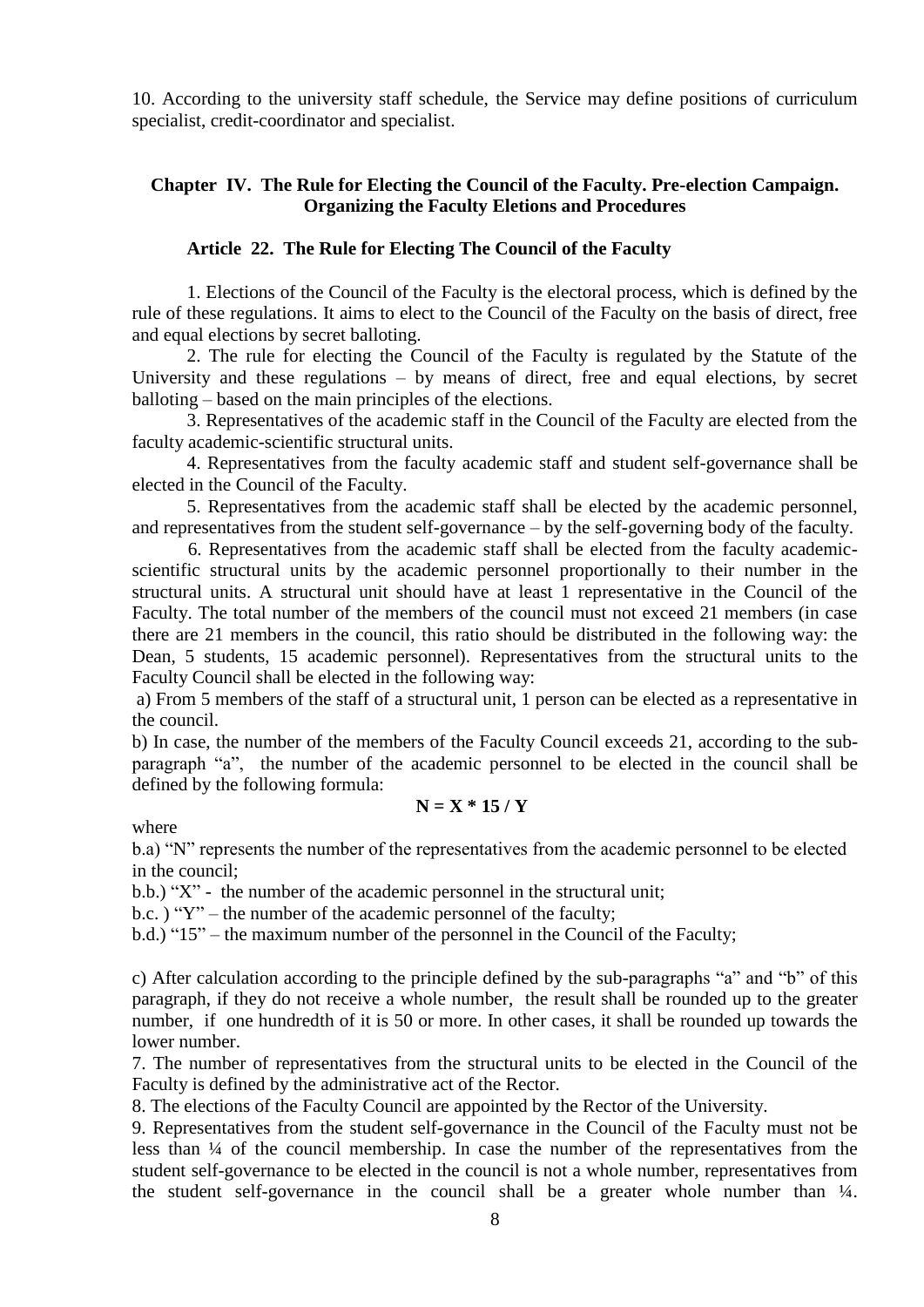10. According to the university staff schedule, the Service may define positions of curriculum specialist, credit-coordinator and specialist.

# **Chapter IV. The Rule for Electing the Council of the Faculty. Pre-election Campaign. Organizing the Faculty Eletions and Procedures**

### **Article 22. The Rule for Electing The Council of the Faculty**

1. Elections of the Council of the Faculty is the electoral process, which is defined by the rule of these regulations. It aims to elect to the Council of the Faculty on the basis of direct, free and equal elections by secret balloting.

2. The rule for electing the Council of the Faculty is regulated by the Statute of the University and these regulations – by means of direct, free and equal elections, by secret balloting – based on the main principles of the elections.

3. Representatives of the academic staff in the Council of the Faculty are elected from the faculty academic-scientific structural units.

4. Representatives from the faculty academic staff and student self-governance shall be elected in the Council of the Faculty.

5. Representatives from the academic staff shall be elected by the academic personnel, and representatives from the student self-governance – by the self-governing body of the faculty.

6. Representatives from the academic staff shall be elected from the faculty academicscientific structural units by the academic personnel proportionally to their number in the structural units. A structural unit should have at least 1 representative in the Council of the Faculty. The total number of the members of the council must not exceed 21 members (in case there are 21 members in the council, this ratio should be distributed in the following way: the Dean, 5 students, 15 academic personnel). Representatives from the structural units to the Faculty Council shall be elected in the following way:

a) From 5 members of the staff of a structural unit, 1 person can be elected as a representative in the council.

b) In case, the number of the members of the Faculty Council exceeds 21, according to the subparagraph "a", the number of the academic personnel to be elected in the council shall be defined by the following formula:

# **N = X \* 15 / Y**

where

b.a) "N" represents the number of the representatives from the academic personnel to be elected in the council;

b.b.) "X" - the number of the academic personnel in the structural unit;

b.c. ) "Y" – the number of the academic personnel of the faculty;

b.d.) "15" – the maximum number of the personnel in the Council of the Faculty;

c) After calculation according to the principle defined by the sub-paragraphs "a" and "b" of this paragraph, if they do not receive a whole number, the result shall be rounded up to the greater number, if one hundredth of it is 50 or more. In other cases, it shall be rounded up towards the lower number.

7. The number of representatives from the structural units to be elected in the Council of the Faculty is defined by the administrative act of the Rector.

8. The elections of the Faculty Council are appointed by the Rector of the University.

9. Representatives from the student self-governance in the Council of the Faculty must not be less than ¼ of the council membership. In case the number of the representatives from the student self-governance to be elected in the council is not a whole number, representatives from the student self-governance in the council shall be a greater whole number than ¼.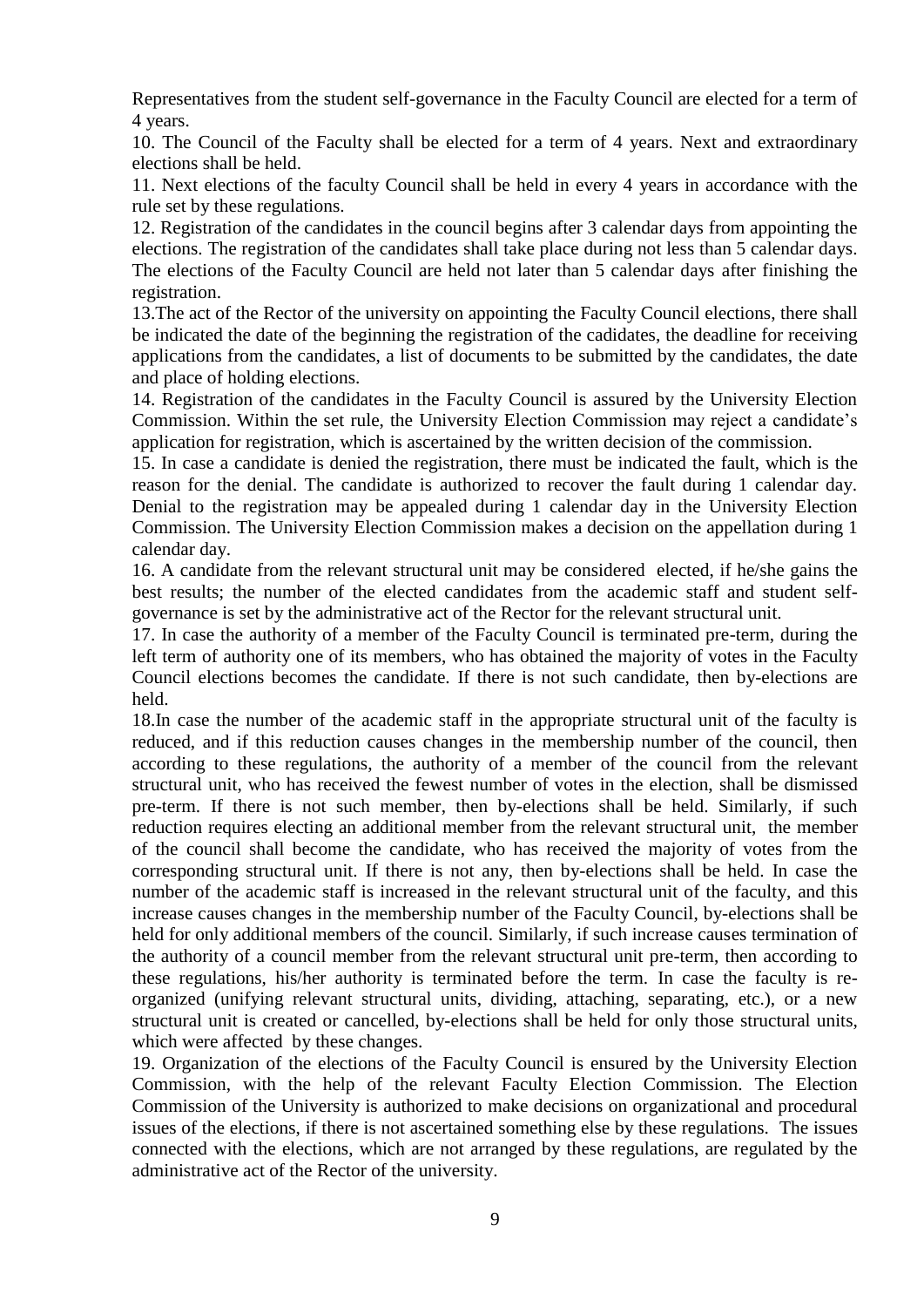Representatives from the student self-governance in the Faculty Council are elected for a term of 4 years.

10. The Council of the Faculty shall be elected for a term of 4 years. Next and extraordinary elections shall be held.

11. Next elections of the faculty Council shall be held in every 4 years in accordance with the rule set by these regulations.

12. Registration of the candidates in the council begins after 3 calendar days from appointing the elections. The registration of the candidates shall take place during not less than 5 calendar days. The elections of the Faculty Council are held not later than 5 calendar days after finishing the registration.

13.The act of the Rector of the university on appointing the Faculty Council elections, there shall be indicated the date of the beginning the registration of the cadidates, the deadline for receiving applications from the candidates, a list of documents to be submitted by the candidates, the date and place of holding elections.

14. Registration of the candidates in the Faculty Council is assured by the University Election Commission. Within the set rule, the University Election Commission may reject a candidate's application for registration, which is ascertained by the written decision of the commission.

15. In case a candidate is denied the registration, there must be indicated the fault, which is the reason for the denial. The candidate is authorized to recover the fault during 1 calendar day. Denial to the registration may be appealed during 1 calendar day in the University Election Commission. The University Election Commission makes a decision on the appellation during 1 calendar day.

16. A candidate from the relevant structural unit may be considered elected, if he/she gains the best results; the number of the elected candidates from the academic staff and student selfgovernance is set by the administrative act of the Rector for the relevant structural unit.

17. In case the authority of a member of the Faculty Council is terminated pre-term, during the left term of authority one of its members, who has obtained the majority of votes in the Faculty Council elections becomes the candidate. If there is not such candidate, then by-elections are held.

18.In case the number of the academic staff in the appropriate structural unit of the faculty is reduced, and if this reduction causes changes in the membership number of the council, then according to these regulations, the authority of a member of the council from the relevant structural unit, who has received the fewest number of votes in the election, shall be dismissed pre-term. If there is not such member, then by-elections shall be held. Similarly, if such reduction requires electing an additional member from the relevant structural unit, the member of the council shall become the candidate, who has received the majority of votes from the corresponding structural unit. If there is not any, then by-elections shall be held. In case the number of the academic staff is increased in the relevant structural unit of the faculty, and this increase causes changes in the membership number of the Faculty Council, by-elections shall be held for only additional members of the council. Similarly, if such increase causes termination of the authority of a council member from the relevant structural unit pre-term, then according to these regulations, his/her authority is terminated before the term. In case the faculty is reorganized (unifying relevant structural units, dividing, attaching, separating, etc.), or a new structural unit is created or cancelled, by-elections shall be held for only those structural units, which were affected by these changes.

19. Organization of the elections of the Faculty Council is ensured by the University Election Commission, with the help of the relevant Faculty Election Commission. The Election Commission of the University is authorized to make decisions on organizational and procedural issues of the elections, if there is not ascertained something else by these regulations. The issues connected with the elections, which are not arranged by these regulations, are regulated by the administrative act of the Rector of the university.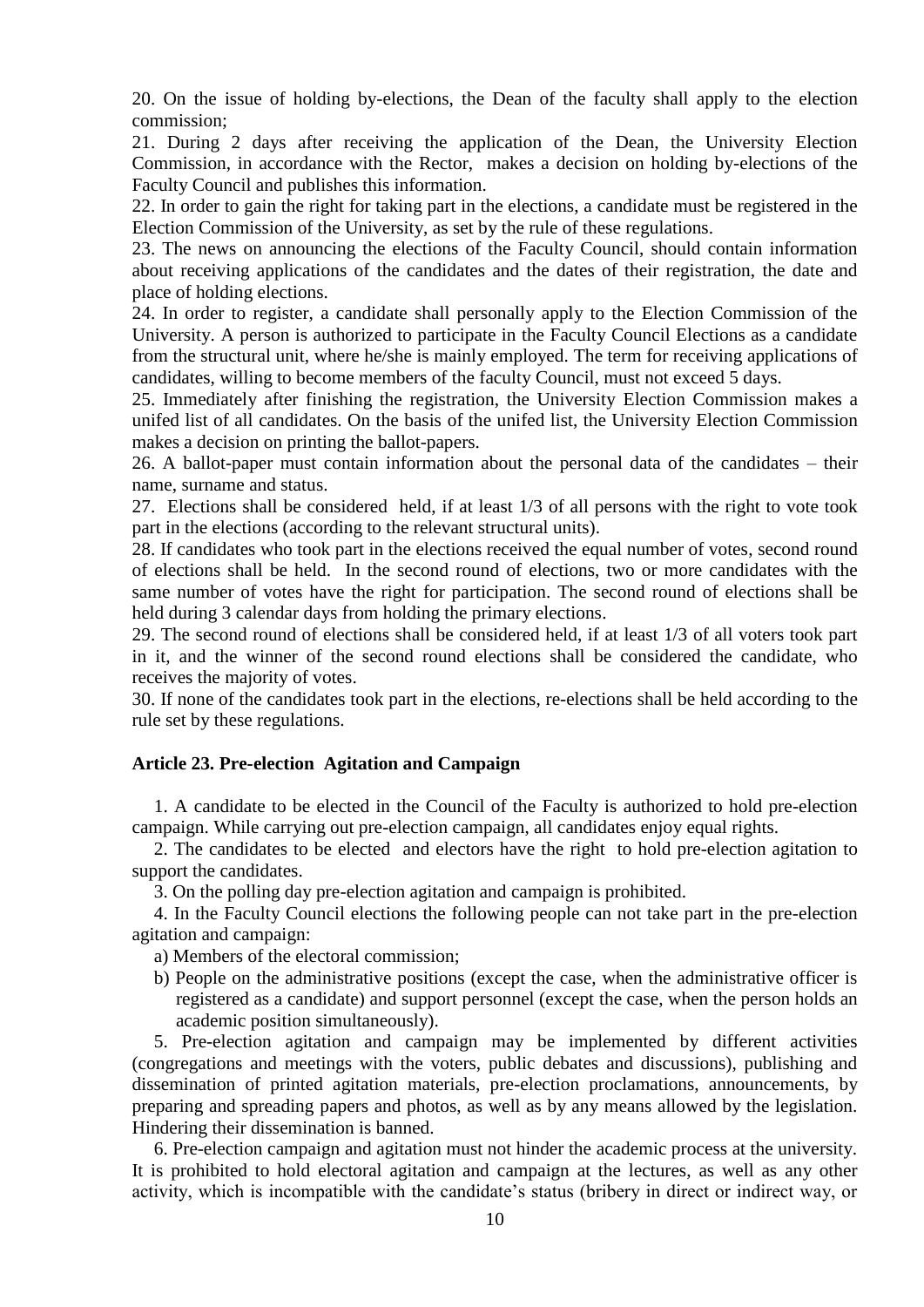20. On the issue of holding by-elections, the Dean of the faculty shall apply to the election commission;

21. During 2 days after receiving the application of the Dean, the University Election Commission, in accordance with the Rector, makes a decision on holding by-elections of the Faculty Council and publishes this information.

22. In order to gain the right for taking part in the elections, a candidate must be registered in the Election Commission of the University, as set by the rule of these regulations.

23. The news on announcing the elections of the Faculty Council, should contain information about receiving applications of the candidates and the dates of their registration, the date and place of holding elections.

24. In order to register, a candidate shall personally apply to the Election Commission of the University. A person is authorized to participate in the Faculty Council Elections as a candidate from the structural unit, where he/she is mainly employed. The term for receiving applications of candidates, willing to become members of the faculty Council, must not exceed 5 days.

25. Immediately after finishing the registration, the University Election Commission makes a unifed list of all candidates. On the basis of the unifed list, the University Election Commission makes a decision on printing the ballot-papers.

26. A ballot-paper must contain information about the personal data of the candidates – their name, surname and status.

27. Elections shall be considered held, if at least 1/3 of all persons with the right to vote took part in the elections (according to the relevant structural units).

28. If candidates who took part in the elections received the equal number of votes, second round of elections shall be held. In the second round of elections, two or more candidates with the same number of votes have the right for participation. The second round of elections shall be held during 3 calendar days from holding the primary elections.

29. The second round of elections shall be considered held, if at least 1/3 of all voters took part in it, and the winner of the second round elections shall be considered the candidate, who receives the majority of votes.

30. If none of the candidates took part in the elections, re-elections shall be held according to the rule set by these regulations.

# **Article 23. Pre-election Agitation and Campaign**

1. A candidate to be elected in the Council of the Faculty is authorized to hold pre-election campaign. While carrying out pre-election campaign, all candidates enjoy equal rights.

2. The candidates to be elected and electors have the right to hold pre-election agitation to support the candidates.

3. On the polling day pre-election agitation and campaign is prohibited.

4. In the Faculty Council elections the following people can not take part in the pre-election agitation and campaign:

a) Members of the electoral commission;

b) People on the administrative positions (except the case, when the administrative officer is registered as a candidate) and support personnel (except the case, when the person holds an academic position simultaneously).

5. Pre-election agitation and campaign may be implemented by different activities (congregations and meetings with the voters, public debates and discussions), publishing and dissemination of printed agitation materials, pre-election proclamations, announcements, by preparing and spreading papers and photos, as well as by any means allowed by the legislation. Hindering their dissemination is banned.

6. Pre-election campaign and agitation must not hinder the academic process at the university. It is prohibited to hold electoral agitation and campaign at the lectures, as well as any other activity, which is incompatible with the candidate's status (bribery in direct or indirect way, or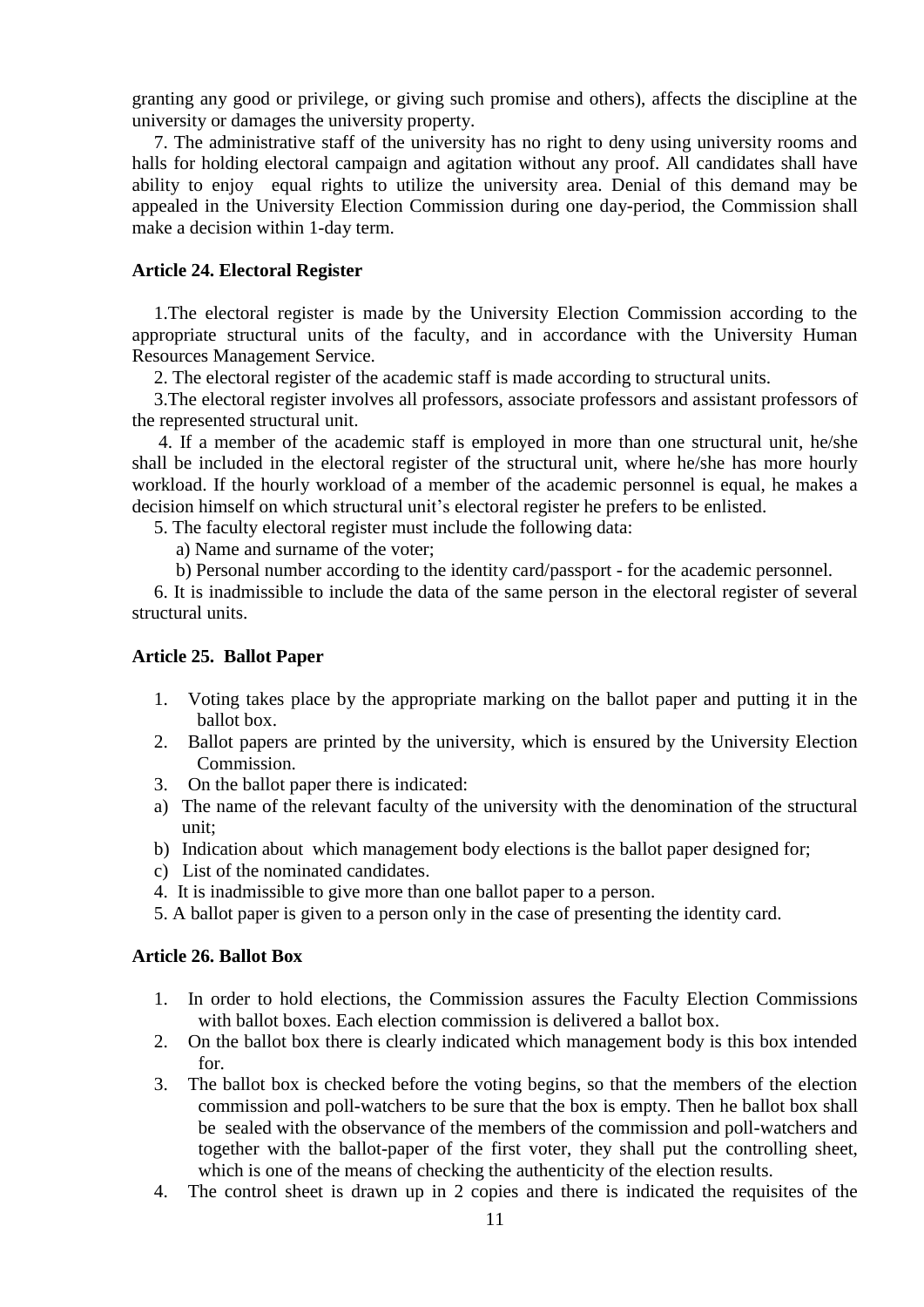granting any good or privilege, or giving such promise and others), affects the discipline at the university or damages the university property.

7. The administrative staff of the university has no right to deny using university rooms and halls for holding electoral campaign and agitation without any proof. All candidates shall have ability to enjoy equal rights to utilize the university area. Denial of this demand may be appealed in the University Election Commission during one day-period, the Commission shall make a decision within 1-day term.

#### **Article 24. Electoral Register**

1.The electoral register is made by the University Election Commission according to the appropriate structural units of the faculty, and in accordance with the University Human Resources Management Service.

2. The electoral register of the academic staff is made according to structural units.

3.The electoral register involves all professors, associate professors and assistant professors of the represented structural unit.

4. If a member of the academic staff is employed in more than one structural unit, he/she shall be included in the electoral register of the structural unit, where he/she has more hourly workload. If the hourly workload of a member of the academic personnel is equal, he makes a decision himself on which structural unit's electoral register he prefers to be enlisted.

5. The faculty electoral register must include the following data:

a) Name and surname of the voter;

b) Personal number according to the identity card/passport - for the academic personnel.

6. It is inadmissible to include the data of the same person in the electoral register of several structural units.

#### **Article 25. Ballot Paper**

- 1. Voting takes place by the appropriate marking on the ballot paper and putting it in the ballot box.
- 2. Ballot papers are printed by the university, which is ensured by the University Election Commission.
- 3. On the ballot paper there is indicated:
- a) The name of the relevant faculty of the university with the denomination of the structural unit;
- b) Indication about which management body elections is the ballot paper designed for;
- c) List of the nominated candidates.
- 4. It is inadmissible to give more than one ballot paper to a person.
- 5. A ballot paper is given to a person only in the case of presenting the identity card.

#### **Article 26. Ballot Box**

- 1. In order to hold elections, the Commission assures the Faculty Election Commissions with ballot boxes. Each election commission is delivered a ballot box.
- 2. On the ballot box there is clearly indicated which management body is this box intended for.
- 3. The ballot box is checked before the voting begins, so that the members of the election commission and poll-watchers to be sure that the box is empty. Then he ballot box shall be sealed with the observance of the members of the commission and poll-watchers and together with the ballot-paper of the first voter, they shall put the controlling sheet, which is one of the means of checking the authenticity of the election results.
- 4. The control sheet is drawn up in 2 copies and there is indicated the requisites of the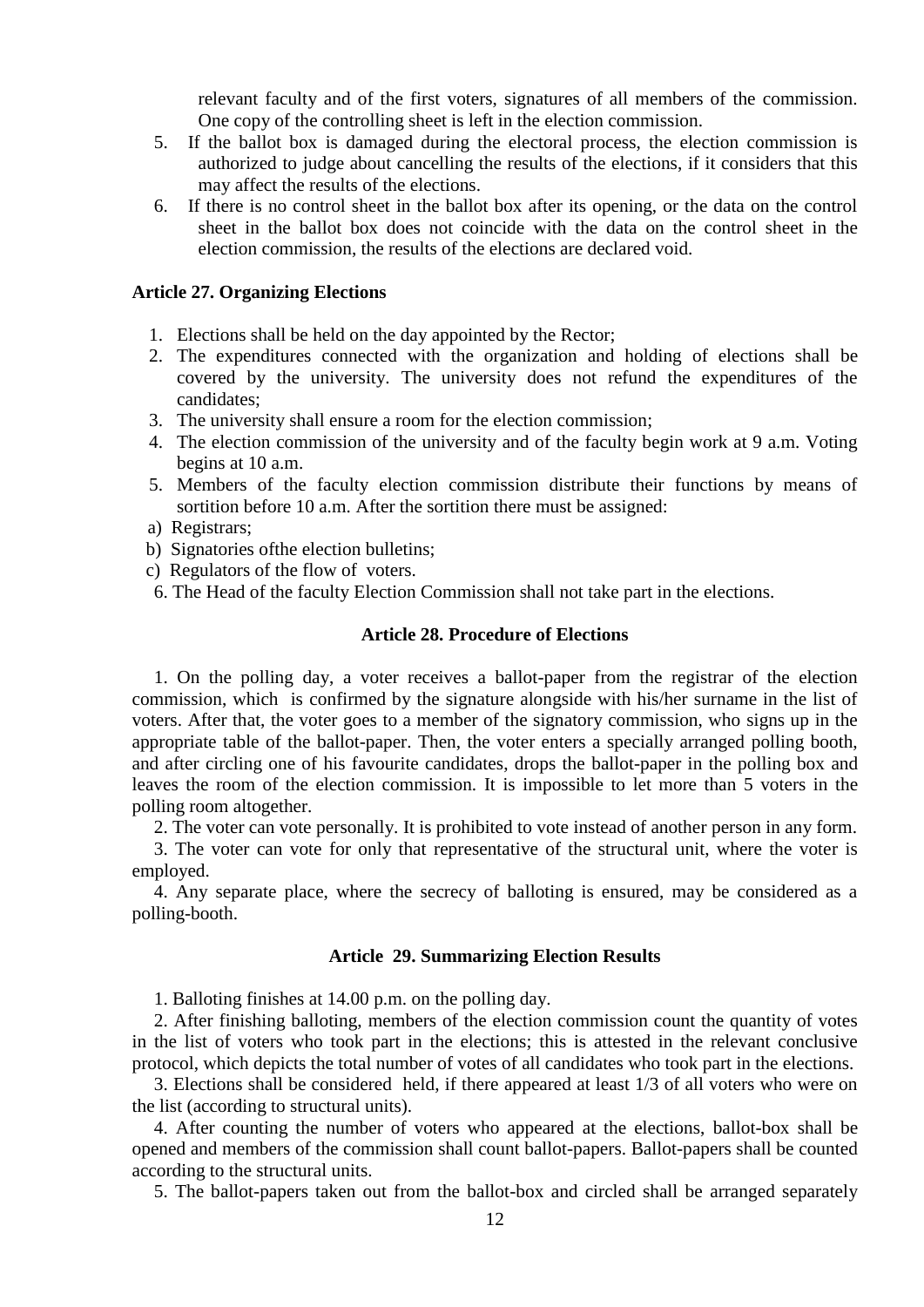relevant faculty and of the first voters, signatures of all members of the commission. One copy of the controlling sheet is left in the election commission.

- 5. If the ballot box is damaged during the electoral process, the election commission is authorized to judge about cancelling the results of the elections, if it considers that this may affect the results of the elections.
- 6. If there is no control sheet in the ballot box after its opening, or the data on the control sheet in the ballot box does not coincide with the data on the control sheet in the election commission, the results of the elections are declared void.

#### **Article 27. Organizing Elections**

- 1. Elections shall be held on the day appointed by the Rector;
- 2. The expenditures connected with the organization and holding of elections shall be covered by the university. The university does not refund the expenditures of the candidates;
- 3. The university shall ensure a room for the election commission;
- 4. The election commission of the university and of the faculty begin work at 9 a.m. Voting begins at 10 a.m.
- 5. Members of the faculty election commission distribute their functions by means of sortition before 10 a.m. After the sortition there must be assigned:
- a) Registrars;
- b) Signatories ofthe election bulletins;
- c) Regulators of the flow of voters.
- 6. The Head of the faculty Election Commission shall not take part in the elections.

#### **Article 28. Procedure of Elections**

1. On the polling day, a voter receives a ballot-paper from the registrar of the election commission, which is confirmed by the signature alongside with his/her surname in the list of voters. After that, the voter goes to a member of the signatory commission, who signs up in the appropriate table of the ballot-paper. Then, the voter enters a specially arranged polling booth, and after circling one of his favourite candidates, drops the ballot-paper in the polling box and leaves the room of the election commission. It is impossible to let more than 5 voters in the polling room altogether.

2. The voter can vote personally. It is prohibited to vote instead of another person in any form.

3. The voter can vote for only that representative of the structural unit, where the voter is employed.

4. Any separate place, where the secrecy of balloting is ensured, may be considered as a polling-booth.

#### **Article 29. Summarizing Election Results**

1. Balloting finishes at 14.00 p.m. on the polling day.

2. After finishing balloting, members of the election commission count the quantity of votes in the list of voters who took part in the elections; this is attested in the relevant conclusive protocol, which depicts the total number of votes of all candidates who took part in the elections.

3. Elections shall be considered held, if there appeared at least 1/3 of all voters who were on the list (according to structural units).

4. After counting the number of voters who appeared at the elections, ballot-box shall be opened and members of the commission shall count ballot-papers. Ballot-papers shall be counted according to the structural units.

5. The ballot-papers taken out from the ballot-box and circled shall be arranged separately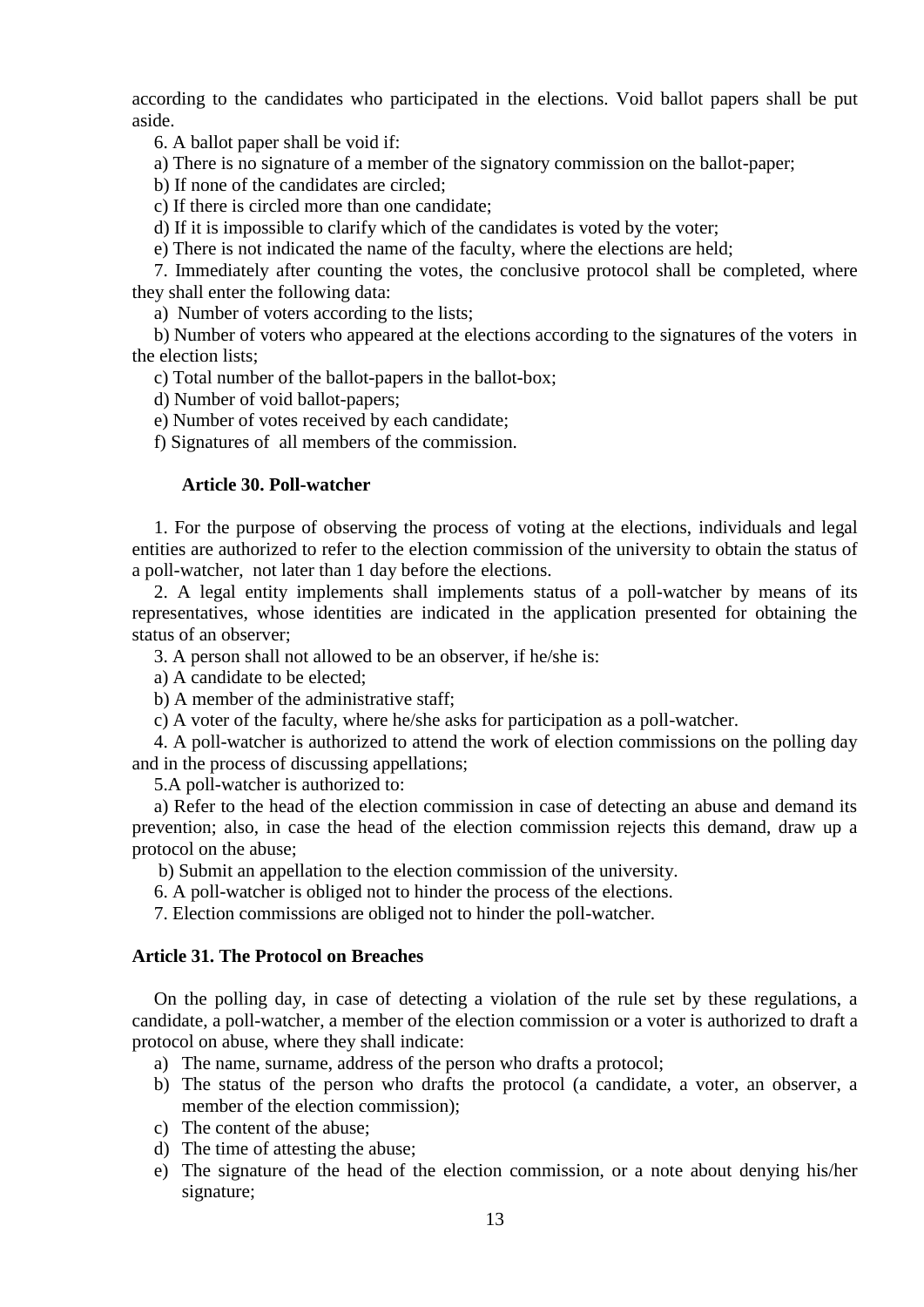according to the candidates who participated in the elections. Void ballot papers shall be put aside.

6. A ballot paper shall be void if:

a) There is no signature of a member of the signatory commission on the ballot-paper;

b) If none of the candidates are circled;

c) If there is circled more than one candidate;

d) If it is impossible to clarify which of the candidates is voted by the voter;

e) There is not indicated the name of the faculty, where the elections are held;

7. Immediately after counting the votes, the conclusive protocol shall be completed, where they shall enter the following data:

a) Number of voters according to the lists;

b) Number of voters who appeared at the elections according to the signatures of the voters in the election lists;

c) Total number of the ballot-papers in the ballot-box;

d) Number of void ballot-papers;

e) Number of votes received by each candidate;

f) Signatures of all members of the commission.

### **Article 30. Poll-watcher**

1. For the purpose of observing the process of voting at the elections, individuals and legal entities are authorized to refer to the election commission of the university to obtain the status of a poll-watcher, not later than 1 day before the elections.

2. A legal entity implements shall implements status of a poll-watcher by means of its representatives, whose identities are indicated in the application presented for obtaining the status of an observer;

3. A person shall not allowed to be an observer, if he/she is:

a) A candidate to be elected;

b) A member of the administrative staff;

c) A voter of the faculty, where he/she asks for participation as a poll-watcher.

4. A poll-watcher is authorized to attend the work of election commissions on the polling day and in the process of discussing appellations;

5.A poll-watcher is authorized to:

a) Refer to the head of the election commission in case of detecting an abuse and demand its prevention; also, in case the head of the election commission rejects this demand, draw up a protocol on the abuse;

b) Submit an appellation to the election commission of the university.

6. A poll-watcher is obliged not to hinder the process of the elections.

7. Election commissions are obliged not to hinder the poll-watcher.

#### **Article 31. The Protocol on Breaches**

On the polling day, in case of detecting a violation of the rule set by these regulations, a candidate, a poll-watcher, a member of the election commission or a voter is authorized to draft a protocol on abuse, where they shall indicate:

- a) The name, surname, address of the person who drafts a protocol;
- b) The status of the person who drafts the protocol (a candidate, a voter, an observer, a member of the election commission);
- c) The content of the abuse;
- d) The time of attesting the abuse;
- e) The signature of the head of the election commission, or a note about denying his/her signature;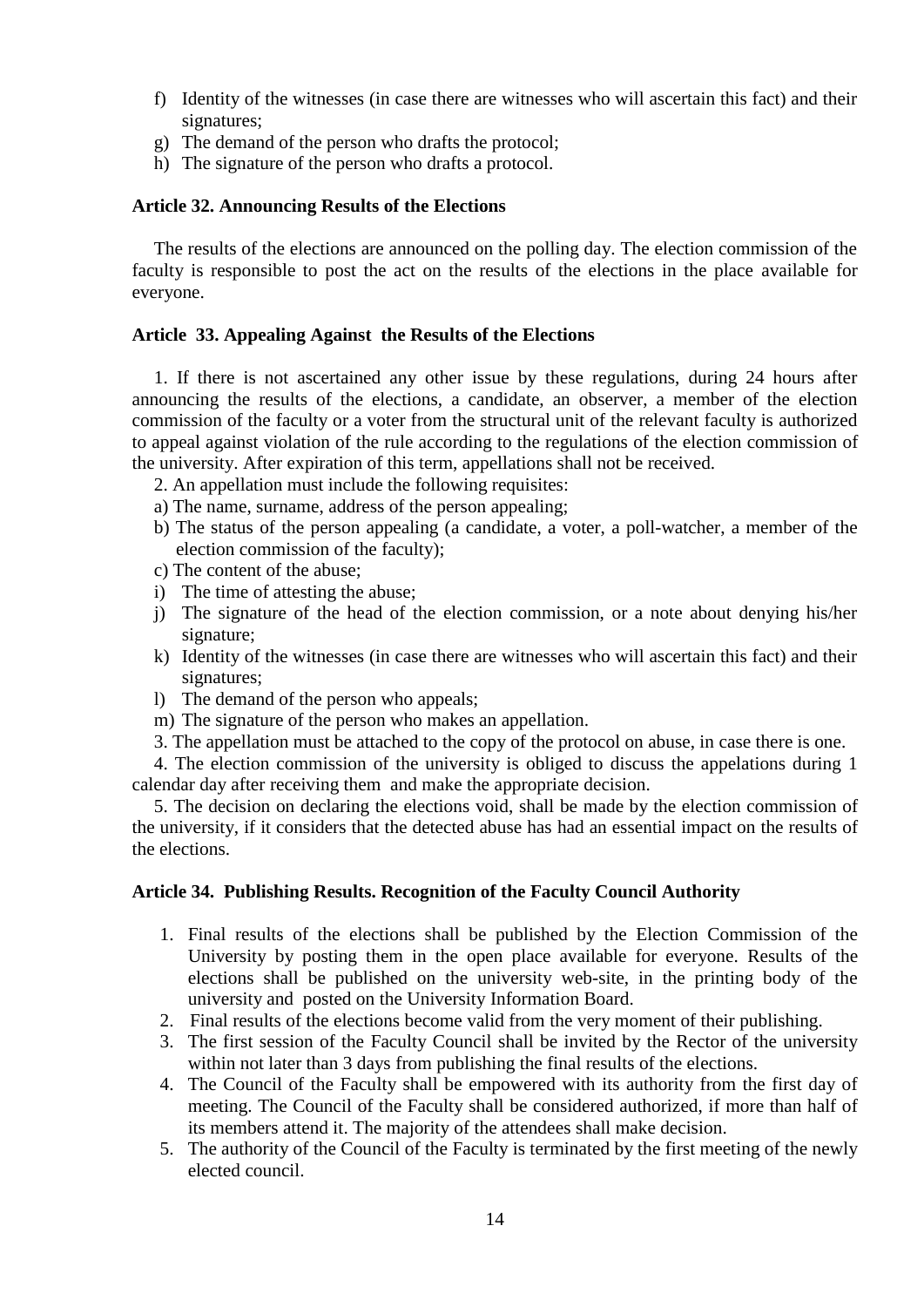- f) Identity of the witnesses (in case there are witnesses who will ascertain this fact) and their signatures;
- g) The demand of the person who drafts the protocol;
- h) The signature of the person who drafts a protocol.

# **Article 32. Announcing Results of the Elections**

The results of the elections are announced on the polling day. The election commission of the faculty is responsible to post the act on the results of the elections in the place available for everyone.

### **Article 33. Appealing Against the Results of the Elections**

1. If there is not ascertained any other issue by these regulations, during 24 hours after announcing the results of the elections, a candidate, an observer, a member of the election commission of the faculty or a voter from the structural unit of the relevant faculty is authorized to appeal against violation of the rule according to the regulations of the election commission of the university. After expiration of this term, appellations shall not be received.

- 2. An appellation must include the following requisites:
- a) The name, surname, address of the person appealing;
- b) The status of the person appealing (a candidate, a voter, a poll-watcher, a member of the election commission of the faculty);
- c) The content of the abuse;
- i) The time of attesting the abuse;
- j) The signature of the head of the election commission, or a note about denying his/her signature;
- k) Identity of the witnesses (in case there are witnesses who will ascertain this fact) and their signatures;
- l) The demand of the person who appeals;
- m) The signature of the person who makes an appellation.
- 3. The appellation must be attached to the copy of the protocol on abuse, in case there is one.

4. The election commission of the university is obliged to discuss the appelations during 1 calendar day after receiving them and make the appropriate decision.

5. The decision on declaring the elections void, shall be made by the election commission of the university, if it considers that the detected abuse has had an essential impact on the results of the elections.

#### **Article 34. Publishing Results. Recognition of the Faculty Council Authority**

- 1. Final results of the elections shall be published by the Election Commission of the University by posting them in the open place available for everyone. Results of the elections shall be published on the university web-site, in the printing body of the university and posted on the University Information Board.
- 2. Final results of the elections become valid from the very moment of their publishing.
- 3. The first session of the Faculty Council shall be invited by the Rector of the university within not later than 3 days from publishing the final results of the elections.
- 4. The Council of the Faculty shall be empowered with its authority from the first day of meeting. The Council of the Faculty shall be considered authorized, if more than half of its members attend it. The majority of the attendees shall make decision.
- 5. The authority of the Council of the Faculty is terminated by the first meeting of the newly elected council.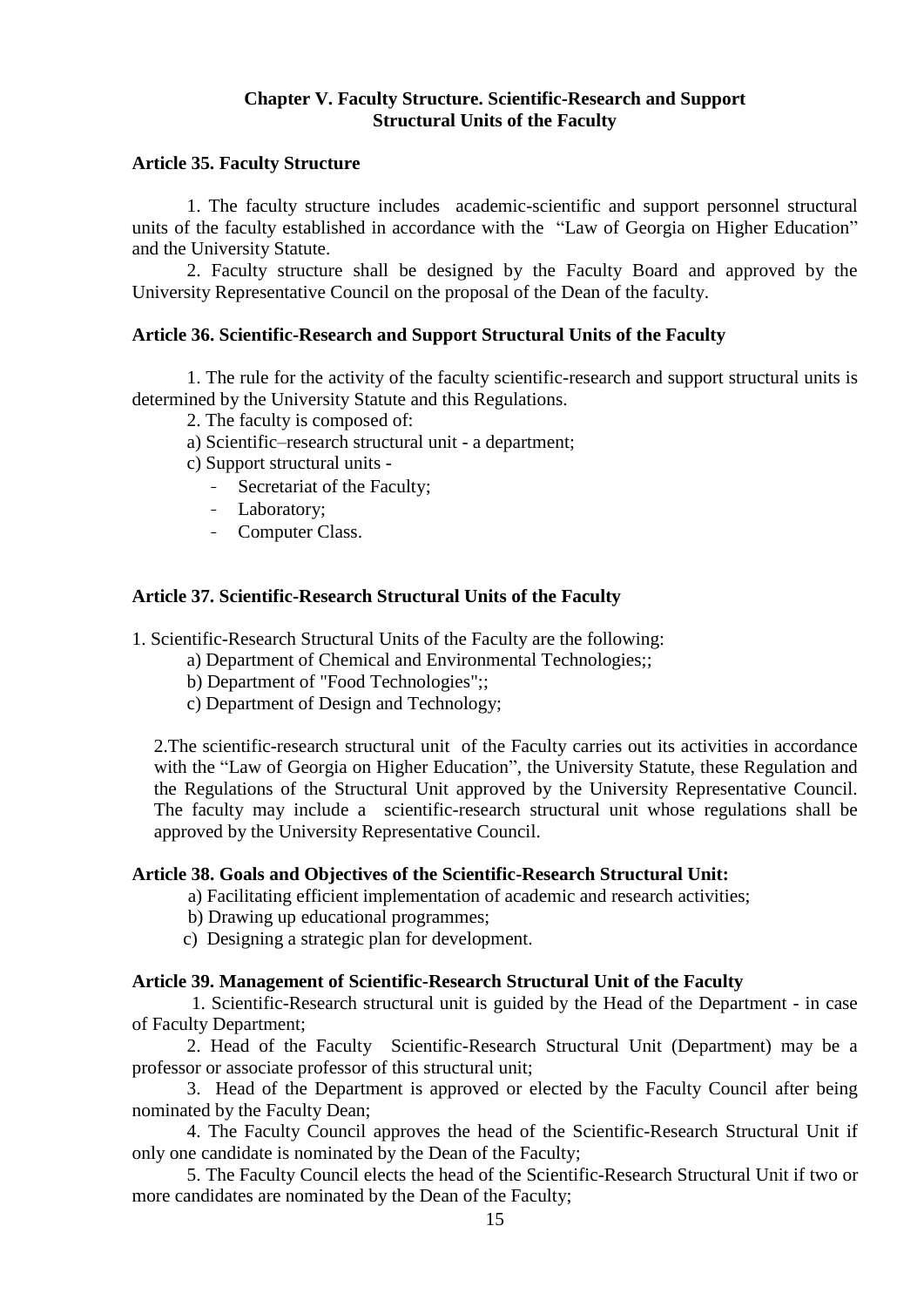# **Chapter V. Faculty Structure. Scientific-Research and Support Structural Units of the Faculty**

#### **Article 35. Faculty Structure**

1. The faculty structure includes academic-scientific and support personnel structural units of the faculty established in accordance with the "Law of Georgia on Higher Education" and the University Statute.

2. Faculty structure shall be designed by the Faculty Board and approved by the University Representative Council on the proposal of the Dean of the faculty.

### **Article 36. Scientific-Research and Support Structural Units of the Faculty**

1. The rule for the activity of the faculty scientific-research and support structural units is determined by the University Statute and this Regulations.

- 2. The faculty is composed of:
- a) Scientific–research structural unit a department;
- c) Support structural units
	- Secretariat of the Faculty;
	- Laboratory;
	- Computer Class.

# **Article 37. Scientific-Research Structural Units of the Faculty**

1. Scientific-Research Structural Units of the Faculty are the following:

- a) Department of Chemical and Environmental Technologies;;
- b) Department of "Food Technologies";;
- c) Department of Design and Technology;

2.The scientific-research structural unit of the Faculty carries out its activities in accordance with the "Law of Georgia on Higher Education", the University Statute, these Regulation and the Regulations of the Structural Unit approved by the University Representative Council. The faculty may include a scientific-research structural unit whose regulations shall be approved by the University Representative Council.

### **Article 38. Goals and Objectives of the Scientific-Research Structural Unit:**

- a) Facilitating efficient implementation of academic and research activities;
- b) Drawing up educational programmes;
- c) Designing a strategic plan for development.

#### **Article 39. Management of Scientific-Research Structural Unit of the Faculty**

1. Scientific-Research structural unit is guided by the Head of the Department - in case of Faculty Department;

2. Head of the Faculty Scientific-Research Structural Unit (Department) may be a professor or associate professor of this structural unit;

3. Head of the Department is approved or elected by the Faculty Council after being nominated by the Faculty Dean;

4. The Faculty Council approves the head of the Scientific-Research Structural Unit if only one candidate is nominated by the Dean of the Faculty;

5. The Faculty Council elects the head of the Scientific-Research Structural Unit if two or more candidates are nominated by the Dean of the Faculty;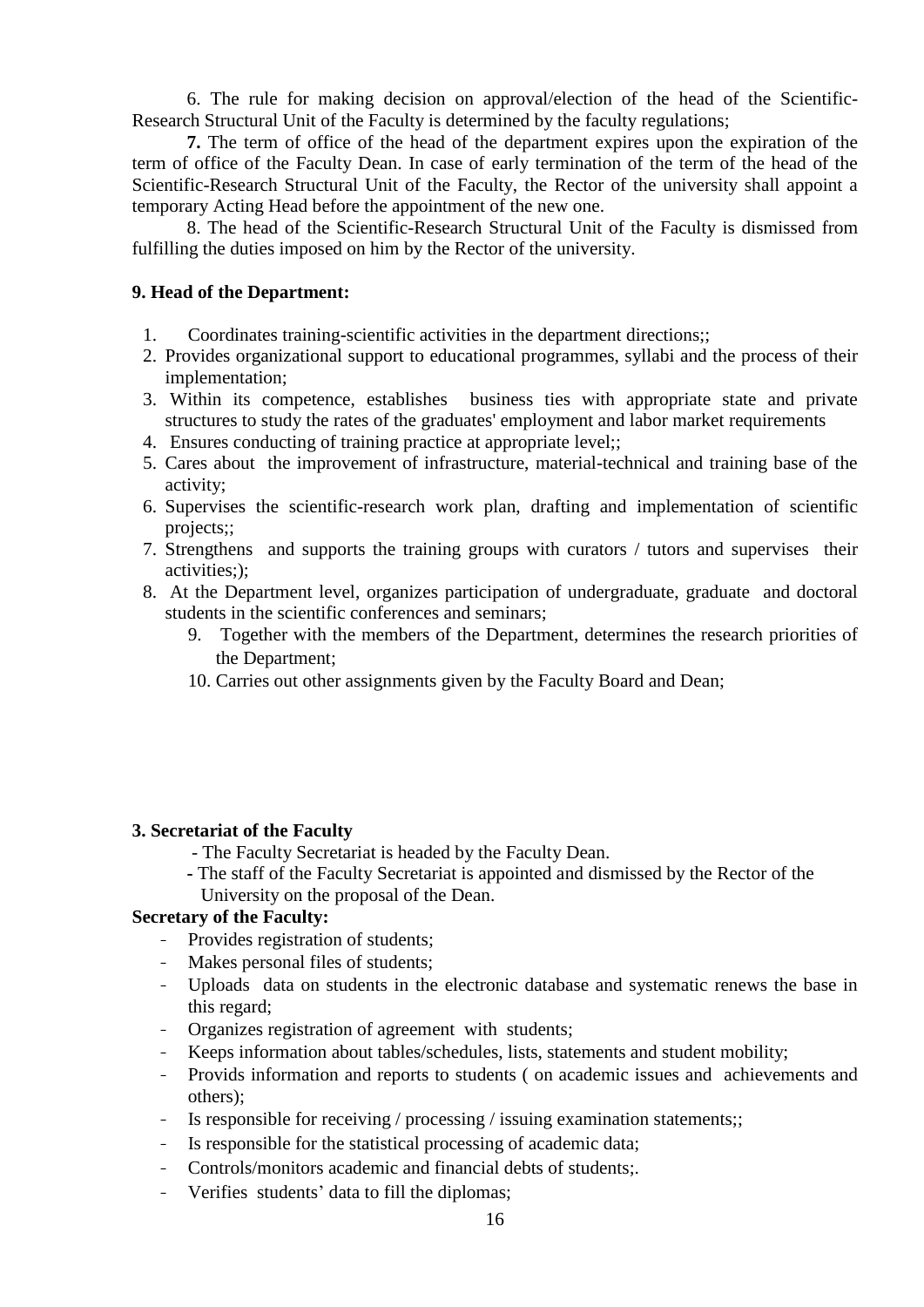6. The rule for making decision on approval/election of the head of the Scientific-Research Structural Unit of the Faculty is determined by the faculty regulations;

**7.** The term of office of the head of the department expires upon the expiration of the term of office of the Faculty Dean. In case of early termination of the term of the head of the Scientific-Research Structural Unit of the Faculty, the Rector of the university shall appoint a temporary Acting Head before the appointment of the new one.

8. The head of the Scientific-Research Structural Unit of the Faculty is dismissed from fulfilling the duties imposed on him by the Rector of the university.

# **9. Head of the Department:**

- 1. Coordinates training-scientific activities in the department directions;;
- 2. Provides organizational support to educational programmes, syllabi and the process of their implementation;
- 3. Within its competence, establishes business ties with appropriate state and private structures to study the rates of the graduates' employment and labor market requirements
- 4. Ensures conducting of training practice at appropriate level;;
- 5. Cares about the improvement of infrastructure, material-technical and training base of the activity;
- 6. Supervises the scientific-research work plan, drafting and implementation of scientific projects;;
- 7. Strengthens and supports the training groups with curators / tutors and supervises their activities;);
- 8. At the Department level, organizes participation of undergraduate, graduate and doctoral students in the scientific conferences and seminars;
	- 9. Together with the members of the Department, determines the research priorities of the Department;
	- 10. Carries out other assignments given by the Faculty Board and Dean;

# **3. Secretariat of the Faculty**

- The Faculty Secretariat is headed by the Faculty Dean.
- **-** The staff of the Faculty Secretariat is appointed and dismissed by the Rector of the
- University on the proposal of the Dean.

# **Secretary of the Faculty:**

- Provides registration of students;
- Makes personal files of students;
- Uploads data on students in the electronic database and systematic renews the base in this regard;
- Organizes registration of agreement with students;
- Keeps information about tables/schedules, lists, statements and student mobility;
- Provids information and reports to students ( on academic issues and achievements and others);
- Is responsible for receiving / processing / issuing examination statements;;
- Is responsible for the statistical processing of academic data;
- Controls/monitors academic and financial debts of students;.
- Verifies students' data to fill the diplomas;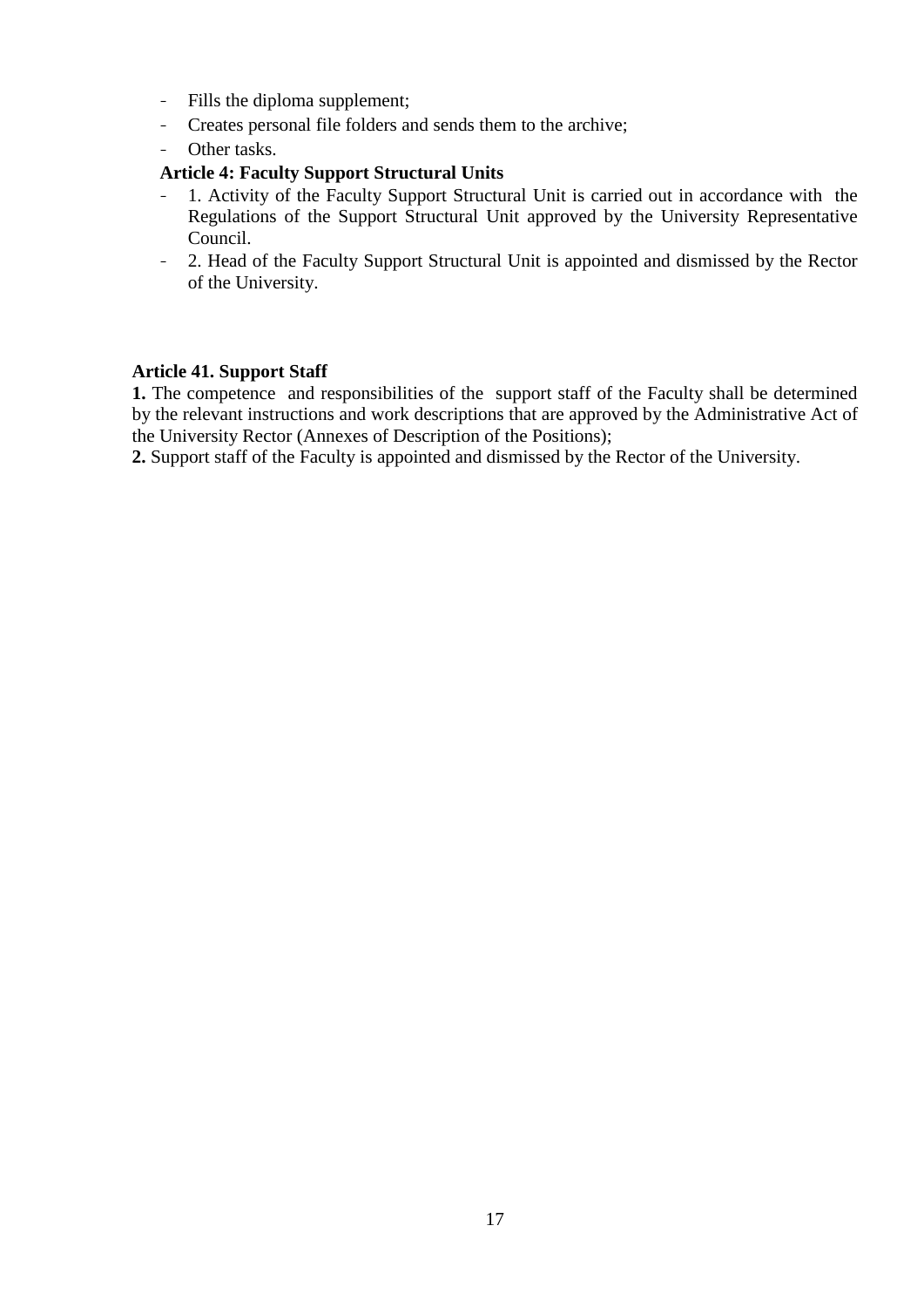- Fills the diploma supplement;
- Creates personal file folders and sends them to the archive;
- Other tasks.

# **Article 4: Faculty Support Structural Units**

- 1. Activity of the Faculty Support Structural Unit is carried out in accordance with the Regulations of the Support Structural Unit approved by the University Representative Council.
- 2. Head of the Faculty Support Structural Unit is appointed and dismissed by the Rector of the University.

# **Article 41. Support Staff**

**1.** The competence and responsibilities of the support staff of the Faculty shall be determined by the relevant instructions and work descriptions that are approved by the Administrative Act of the University Rector (Annexes of Description of the Positions);

**2.** Support staff of the Faculty is appointed and dismissed by the Rector of the University.